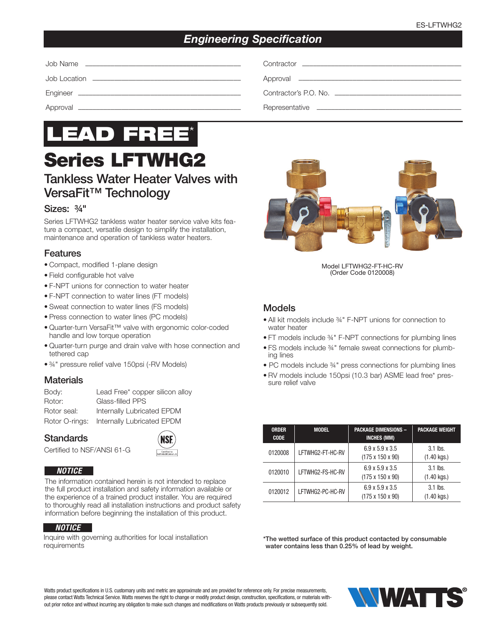## *Engineering Specification*

| Contractor <u>Contractor</u> |
|------------------------------|
|                              |
|                              |
|                              |



# Series LFTWHG2

# Tankless Water Heater Valves with VersaFit™ Technology

#### Sizes: ¾"

Series LFTWHG2 tankless water heater service valve kits feature a compact, versatile design to simplify the installation, maintenance and operation of tankless water heaters.

#### Features

- Compact, modified 1-plane design
- Field configurable hot valve
- F-NPT unions for connection to water heater
- F-NPT connection to water lines (FT models)
- Sweat connection to water lines (FS models)
- Press connection to water lines (PC models)
- Quarter-turn VersaFit™ valve with ergonomic color-coded handle and low torque operation
- Quarter-turn purge and drain valve with hose connection and tethered cap
- ¾" pressure relief valve 150psi (-RV Models)

#### **Materials**

| Body:          | Lead Free* copper silicon alloy |
|----------------|---------------------------------|
| Rotor:         | Glass-filled PPS                |
| Rotor seal:    | Internally Lubricated EPDM      |
| Rotor O-rings: | Internally Lubricated EPDM      |

**Standards** 



Certified to NSF/ANSI 61-G

#### *NOTICE*

The information contained herein is not intended to replace the full product installation and safety information available or the experience of a trained product installer. You are required to thoroughly read all installation instructions and product safety information before beginning the installation of this product.

#### *NOTICE*

Inquire with governing authorities for local installation requirements



Model LFTWHG2-FT-HC-RV (Order Code 0120008)

#### Models

- All kit models include ¾" F-NPT unions for connection to water heater
- FT models include ¾" F-NPT connections for plumbing lines
- FS models include ¾" female sweat connections for plumbing lines
- PC models include ¾" press connections for plumbing lines
- RV models include 150psi (10.3 bar) ASME lead free\* pressure relief valve

| <b>ORDER</b><br><b>CODE</b> | <b>MODEL</b>     | <b>PACKAGE DIMENSIONS -</b><br><b>INCHES (MM)</b>           | <b>PACKAGE WEIGHT</b>               |
|-----------------------------|------------------|-------------------------------------------------------------|-------------------------------------|
| 0120008                     | LFTWHG2-FT-HC-RV | $6.9 \times 5.9 \times 3.5$<br>$(175 \times 150 \times 90)$ | $3.1$ lbs.<br>$(1.40 \text{ kg.})$  |
| 0120010                     | LFTWHG2-FS-HC-RV | $6.9 \times 5.9 \times 3.5$<br>$(175 \times 150 \times 90)$ | $3.1$ lbs.<br>$(1.40 \text{ kg.})$  |
| 0120012                     | LFTWHG2-PC-HC-RV | $6.9 \times 5.9 \times 3.5$<br>$(175 \times 150 \times 90)$ | $3.1$ lbs.<br>$(1.40 \text{ kqs.})$ |

\* The wetted surface of this product contacted by consumable water contains less than 0.25% of lead by weight.

Watts product specifications in U.S. customary units and metric are approximate and are provided for reference only. For precise measurements, please contact Watts Technical Service. Watts reserves the right to change or modify product design, construction, specifications, or materials without prior notice and without incurring any obligation to make such changes and modifications on Watts products previously or subsequently sold.